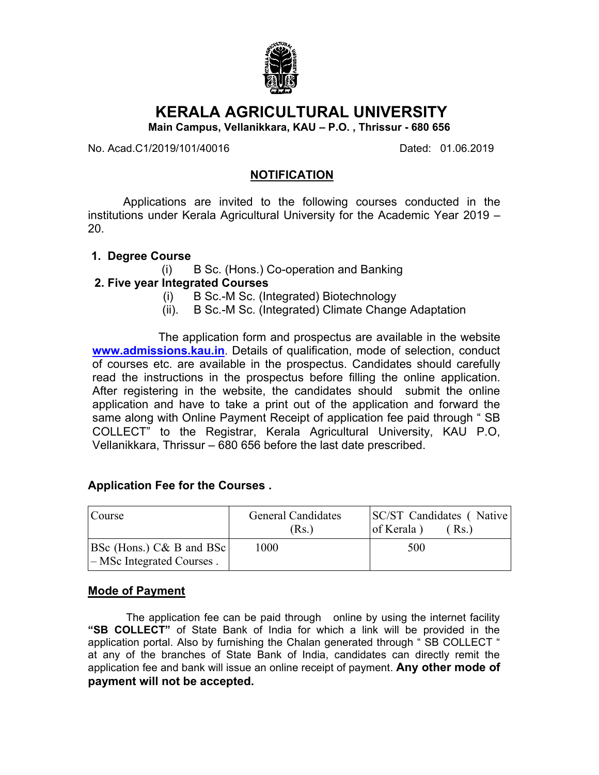

# **KERALA AGRICULTURAL UNIVERSITY**

**Main Campus, Vellanikkara, KAU – P.O. , Thrissur - 680 656**

No. Acad.C1/2019/101/40016 Dated: 01.06.2019

#### **NOTIFICATION**

Applications are invited to the following courses conducted in the institutions under Kerala Agricultural University for the Academic Year 2019 – 20.

- **1. Degree Course**
	- (i) B Sc. (Hons.) Co-operation and Banking

#### **2. Five year Integrated Courses**

- (i) B Sc.-M Sc. (Integrated) Biotechnology
- (ii). B Sc.-M Sc. (Integrated) Climate Change Adaptation

The application form and prospectus are available in the website **www.admissions.kau.in**. Details of qualification, mode of selection, conduct of courses etc. are available in the prospectus. Candidates should carefully read the instructions in the prospectus before filling the online application. After registering in the website, the candidates should submit the online application and have to take a print out of the application and forward the same along with Online Payment Receipt of application fee paid through " SB COLLECT" to the Registrar, Kerala Agricultural University, KAU P.O, Vellanikkara, Thrissur – 680 656 before the last date prescribed.

#### **Application Fee for the Courses .**

| Course                                                       | <b>General Candidates</b><br>(Rs.) | SC/ST Candidates (Native<br>of Kerala)<br>(Rs.) |
|--------------------------------------------------------------|------------------------------------|-------------------------------------------------|
| <b>BSc</b> (Hons.) C& B and BSc<br>- MSc Integrated Courses. | 1000                               | 500                                             |

### **Mode of Payment**

The application fee can be paid through online by using the internet facility **"SB COLLECT"** of State Bank of India for which a link will be provided in the application portal. Also by furnishing the Chalan generated through " SB COLLECT " at any of the branches of State Bank of India, candidates can directly remit the application fee and bank will issue an online receipt of payment. **Any other mode of payment will not be accepted.**